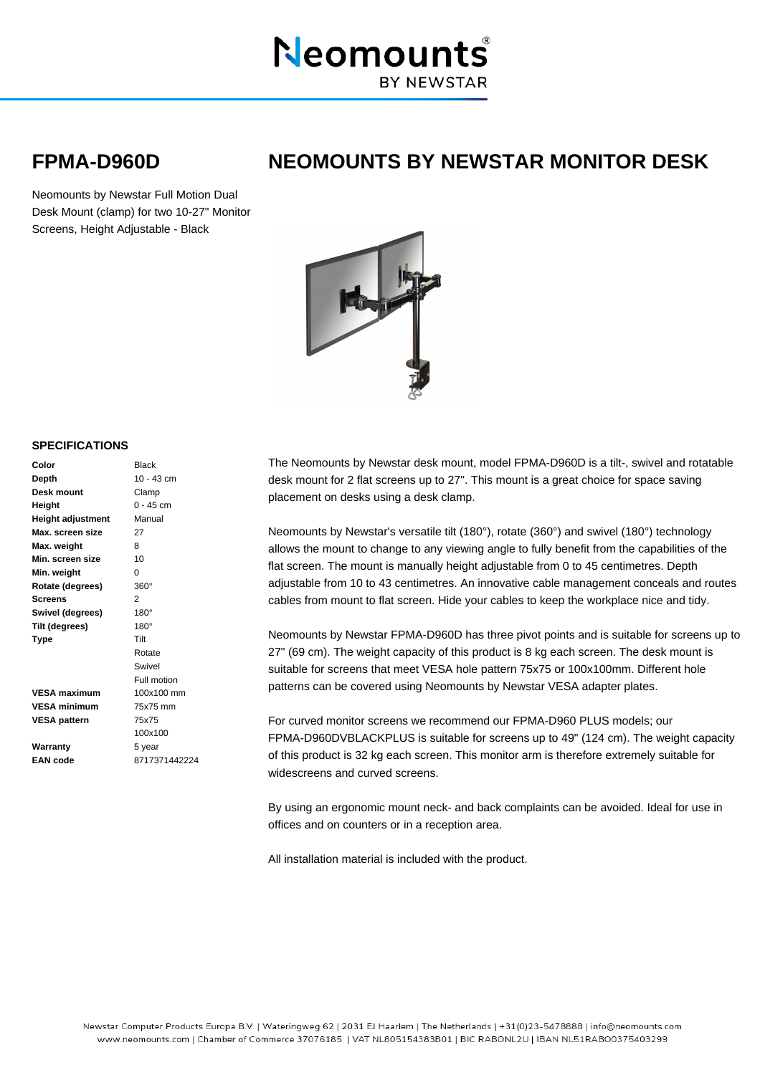

## **FPMA-D960D NEOMOUNTS BY NEWSTAR MONITOR DESK**

Neomounts by Newstar Full Motion Dual Desk Mount (clamp) for two 10-27" Monitor Screens, Height Adjustable - Black



## **SPECIFICATIONS**

| Color                    | <b>Black</b>  |
|--------------------------|---------------|
| Depth                    | $10 - 43$ cm  |
| Desk mount               | Clamp         |
| Height                   | $0 - 45$ cm   |
| <b>Height adjustment</b> | Manual        |
| Max. screen size         | 27            |
| Max. weight              | 8             |
| Min. screen size         | 10            |
| Min. weight              | 0             |
| Rotate (degrees)         | $360^\circ$   |
| <b>Screens</b>           | 2             |
| Swivel (degrees)         | $180^\circ$   |
| Tilt (degrees)           | $180^\circ$   |
| Type                     | Tilt          |
|                          | Rotate        |
|                          | Swivel        |
|                          | Full motion   |
| <b>VESA maximum</b>      | 100x100 mm    |
| <b>VESA minimum</b>      | 75x75 mm      |
| <b>VESA pattern</b>      | 75x75         |
|                          | 100x100       |
| Warranty                 | 5 year        |
| <b>EAN</b> code          | 8717371442224 |

The Neomounts by Newstar desk mount, model FPMA-D960D is a tilt-, swivel and rotatable desk mount for 2 flat screens up to 27". This mount is a great choice for space saving placement on desks using a desk clamp.

Neomounts by Newstar's versatile tilt (180°), rotate (360°) and swivel (180°) technology allows the mount to change to any viewing angle to fully benefit from the capabilities of the flat screen. The mount is manually height adjustable from 0 to 45 centimetres. Depth adjustable from 10 to 43 centimetres. An innovative cable management conceals and routes cables from mount to flat screen. Hide your cables to keep the workplace nice and tidy.

Neomounts by Newstar FPMA-D960D has three pivot points and is suitable for screens up to 27" (69 cm). The weight capacity of this product is 8 kg each screen. The desk mount is suitable for screens that meet VESA hole pattern 75x75 or 100x100mm. Different hole patterns can be covered using Neomounts by Newstar VESA adapter plates.

For curved monitor screens we recommend our FPMA-D960 PLUS models; our FPMA-D960DVBLACKPLUS is suitable for screens up to 49" (124 cm). The weight capacity of this product is 32 kg each screen. This monitor arm is therefore extremely suitable for widescreens and curved screens.

By using an ergonomic mount neck- and back complaints can be avoided. Ideal for use in offices and on counters or in a reception area.

All installation material is included with the product.